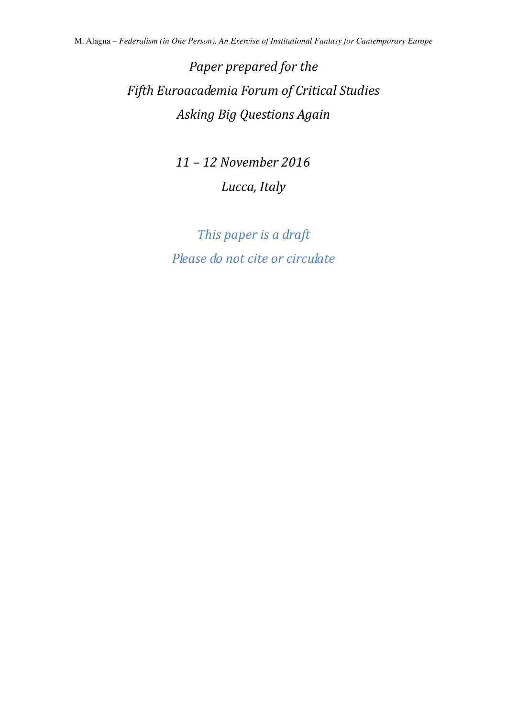# *Paper prepared for the Fifth Euroacademia Forum of Critical Studies Asking Big Questions Again*

 *11 – 12 November 2016 Lucca, Italy* 

*This paper is a draft Please do not cite or circulate*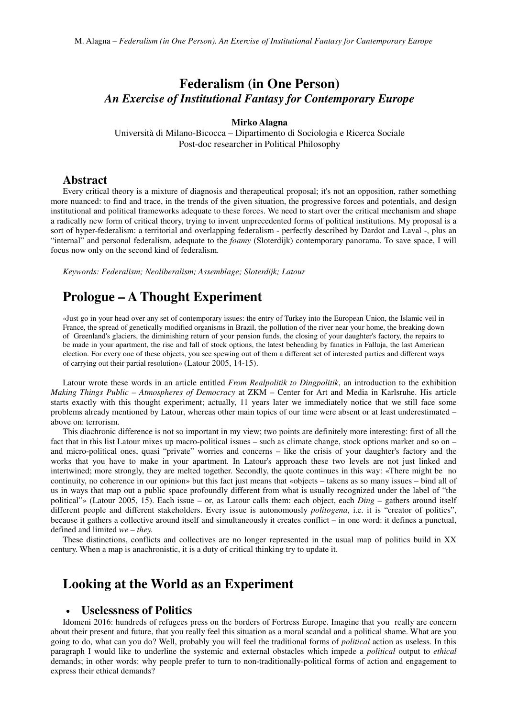## **Federalism (in One Person)** *An Exercise of Institutional Fantasy for Contemporary Europe*

#### **Mirko Alagna**

Università di Milano-Bicocca – Dipartimento di Sociologia e Ricerca Sociale Post-doc researcher in Political Philosophy

## **Abstract**

Every critical theory is a mixture of diagnosis and therapeutical proposal; it's not an opposition, rather something more nuanced: to find and trace, in the trends of the given situation, the progressive forces and potentials, and design institutional and political frameworks adequate to these forces. We need to start over the critical mechanism and shape a radically new form of critical theory, trying to invent unprecedented forms of political institutions. My proposal is a sort of hyper-federalism: a territorial and overlapping federalism - perfectly described by Dardot and Laval -, plus an "internal" and personal federalism, adequate to the *foamy* (Sloterdijk) contemporary panorama. To save space, I will focus now only on the second kind of federalism.

*Keywords: Federalism; Neoliberalism; Assemblage; Sloterdijk; Latour*

## **Prologue – A Thought Experiment**

«Just go in your head over any set of contemporary issues: the entry of Turkey into the European Union, the Islamic veil in France, the spread of genetically modified organisms in Brazil, the pollution of the river near your home, the breaking down of Greenland's glaciers, the diminishing return of your pension funds, the closing of your daughter's factory, the repairs to be made in your apartment, the rise and fall of stock options, the latest beheading by fanatics in Falluja, the last American election. For every one of these objects, you see spewing out of them a different set of interested parties and different ways of carrying out their partial resolution» (Latour 2005, 14-15).

Latour wrote these words in an article entitled *From Realpolitik to Dingpolitik*, an introduction to the exhibition *Making Things Public – Atmospheres of Democracy* at ZKM – Center for Art and Media in Karlsruhe. His article starts exactly with this thought experiment; actually, 11 years later we immediately notice that we still face some problems already mentioned by Latour, whereas other main topics of our time were absent or at least underestimated – above on: terrorism.

This diachronic difference is not so important in my view; two points are definitely more interesting: first of all the fact that in this list Latour mixes up macro-political issues – such as climate change, stock options market and so on – and micro-political ones, quasi "private" worries and concerns – like the crisis of your daughter's factory and the works that you have to make in your apartment. In Latour's approach these two levels are not just linked and intertwined; more strongly, they are melted together. Secondly, the quote continues in this way: «There might be no continuity, no coherence in our opinion» but this fact just means that «objects – takens as so many issues – bind all of us in ways that map out a public space profoundly different from what is usually recognized under the label of "the political"» (Latour 2005, 15). Each issue – or, as Latour calls them: each object, each *Ding –* gathers around itself different people and different stakeholders. Every issue is autonomously *politogena*, i.e. it is "creator of politics", because it gathers a collective around itself and simultaneously it creates conflict – in one word: it defines a punctual, defined and limited *we – they.*

These distinctions, conflicts and collectives are no longer represented in the usual map of politics build in XX century. When a map is anachronistic, it is a duty of critical thinking try to update it.

## **Looking at the World as an Experiment**

## • **Uselessness of Politics**

Idomeni 2016: hundreds of refugees press on the borders of Fortress Europe. Imagine that you really are concern about their present and future, that you really feel this situation as a moral scandal and a political shame. What are you going to do, what can you do? Well, probably you will feel the traditional forms of *political* action as useless. In this paragraph I would like to underline the systemic and external obstacles which impede a *political* output to *ethical*  demands; in other words: why people prefer to turn to non-traditionally-political forms of action and engagement to express their ethical demands?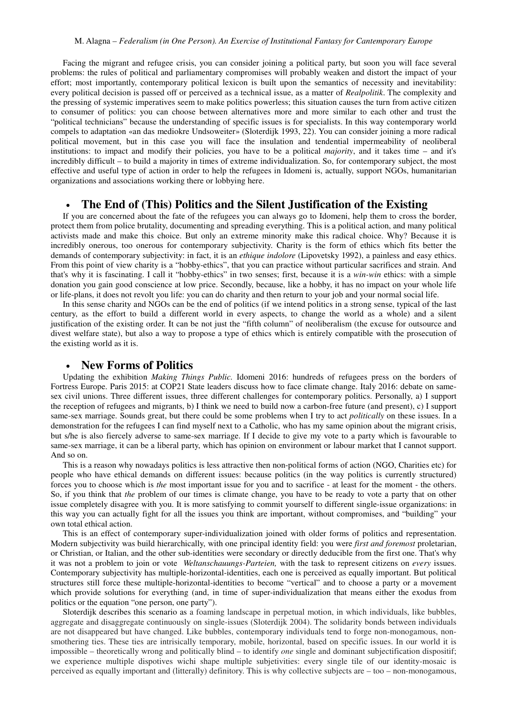Facing the migrant and refugee crisis, you can consider joining a political party, but soon you will face several problems: the rules of political and parliamentary compromises will probably weaken and distort the impact of your effort; most importantly, contemporary political lexicon is built upon the semantics of necessity and inevitability: every political decision is passed off or perceived as a technical issue, as a matter of *Realpolitik*. The complexity and the pressing of systemic imperatives seem to make politics powerless; this situation causes the turn from active citizen to consumer of politics: you can choose between alternatives more and more similar to each other and trust the "political technicians" because the understanding of specific issues is for specialists. In this way contemporary world compels to adaptation «an das mediokre Undsoweiter» (Sloterdijk 1993, 22). You can consider joining a more radical political movement, but in this case you will face the insulation and tendential impermeability of neoliberal institutions: to impact and modify their policies, you have to be a political *majority*, and it takes time – and it's incredibly difficult – to build a majority in times of extreme individualization. So, for contemporary subject, the most effective and useful type of action in order to help the refugees in Idomeni is, actually, support NGOs, humanitarian organizations and associations working there or lobbying here.

### • **The End of (This) Politics and the Silent Justification of the Existing**

If you are concerned about the fate of the refugees you can always go to Idomeni, help them to cross the border, protect them from police brutality, documenting and spreading everything. This is a political action, and many political activists made and make this choice. But only an extreme minority make this radical choice. Why? Because it is incredibly onerous, too onerous for contemporary subjectivity. Charity is the form of ethics which fits better the demands of contemporary subjectivity: in fact, it is an *ethique indolore* (Lipovetsky 1992), a painless and easy ethics. From this point of view charity is a "hobby-ethics", that you can practice without particular sacrifices and strain. And that's why it is fascinating. I call it "hobby-ethics" in two senses; first, because it is a *win-win* ethics: with a simple donation you gain good conscience at low price. Secondly, because, like a hobby, it has no impact on your whole life or life-plans, it does not revolt you life: you can do charity and then return to your job and your normal social life.

In this sense charity and NGOs can be the end of politics (if we intend politics in a strong sense, typical of the last century, as the effort to build a different world in every aspects, to change the world as a whole) and a silent justification of the existing order. It can be not just the "fifth column" of neoliberalism (the excuse for outsource and divest welfare state), but also a way to propose a type of ethics which is entirely compatible with the prosecution of the existing world as it is.

#### • **New Forms of Politics**

Updating the exhibition *Making Things Public.* Idomeni 2016: hundreds of refugees press on the borders of Fortress Europe. Paris 2015: at COP21 State leaders discuss how to face climate change. Italy 2016: debate on samesex civil unions. Three different issues, three different challenges for contemporary politics. Personally, a) I support the reception of refugees and migrants, b) I think we need to build now a carbon-free future (and present), c) I support same-sex marriage. Sounds great, but there could be some problems when I try to act *politically* on these issues. In a demonstration for the refugees I can find myself next to a Catholic, who has my same opinion about the migrant crisis, but s/he is also fiercely adverse to same-sex marriage. If I decide to give my vote to a party which is favourable to same-sex marriage, it can be a liberal party, which has opinion on environment or labour market that I cannot support. And so on.

This is a reason why nowadays politics is less attractive then non-political forms of action (NGO, Charities etc) for people who have ethical demands on different issues: because politics (in the way politics is currently structured) forces you to choose which is *the* most important issue for you and to sacrifice - at least for the moment - the others. So, if you think that *the* problem of our times is climate change, you have to be ready to vote a party that on other issue completely disagree with you. It is more satisfying to commit yourself to different single-issue organizations: in this way you can actually fight for all the issues you think are important, without compromises, and "building" your own total ethical action.

This is an effect of contemporary super-individualization joined with older forms of politics and representation. Modern subjectivity was build hierarchically, with one principal identity field: you were *first and foremost* proletarian, or Christian, or Italian, and the other sub-identities were secondary or directly deducible from the first one. That's why it was not a problem to join or vote *Weltanschauungs-Parteien,* with the task to represent citizens on *every* issues. Contemporary subjectivity has multiple-horizontal-identities, each one is perceived as equally important. But political structures still force these multiple-horizontal-identities to become "vertical" and to choose a party or a movement which provide solutions for everything (and, in time of super-individualization that means either the exodus from politics or the equation "one person, one party").

Sloterdijk describes this scenario as a foaming landscape in perpetual motion, in which individuals, like bubbles, aggregate and disaggregate continuously on single-issues (Sloterdijk 2004). The solidarity bonds between individuals are not disappeared but have changed. Like bubbles, contemporary individuals tend to forge non-monogamous, nonsmothering ties. These ties are intrisically temporary, mobile, horizontal, based on specific issues. In our world it is impossible – theoretically wrong and politically blind – to identify *one* single and dominant subjectification dispositif; we experience multiple dispotives wichi shape multiple subjetivities: every single tile of our identity-mosaic is perceived as equally important and (litterally) definitory. This is why collective subjects are – too – non-monogamous,